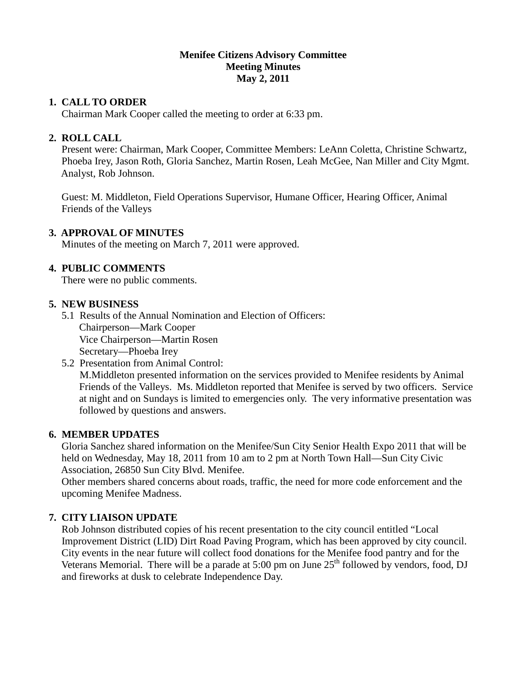#### **Menifee Citizens Advisory Committee Meeting Minutes May 2, 2011**

## **1. CALL TO ORDER**

Chairman Mark Cooper called the meeting to order at 6:33 pm.

### **2. ROLL CALL**

 Present were: Chairman, Mark Cooper, Committee Members: LeAnn Coletta, Christine Schwartz, Phoeba Irey, Jason Roth, Gloria Sanchez, Martin Rosen, Leah McGee, Nan Miller and City Mgmt. Analyst, Rob Johnson.

 Guest: M. Middleton, Field Operations Supervisor, Humane Officer, Hearing Officer, Animal Friends of the Valleys

### **3. APPROVAL OF MINUTES**

Minutes of the meeting on March 7, 2011 were approved.

# **4. PUBLIC COMMENTS**

There were no public comments.

## **5. NEW BUSINESS**

- 5.1 Results of the Annual Nomination and Election of Officers: Chairperson—Mark Cooper Vice Chairperson—Martin Rosen Secretary—Phoeba Irey
- 5.2 Presentation from Animal Control: M.Middleton presented information on the services provided to Menifee residents by Animal Friends of the Valleys. Ms. Middleton reported that Menifee is served by two officers. Service at night and on Sundays is limited to emergencies only. The very informative presentation was followed by questions and answers.

### **6. MEMBER UPDATES**

 Gloria Sanchez shared information on the Menifee/Sun City Senior Health Expo 2011 that will be held on Wednesday, May 18, 2011 from 10 am to 2 pm at North Town Hall—Sun City Civic Association, 26850 Sun City Blvd. Menifee.

 Other members shared concerns about roads, traffic, the need for more code enforcement and the upcoming Menifee Madness.

# **7. CITY LIAISON UPDATE**

 Rob Johnson distributed copies of his recent presentation to the city council entitled "Local Improvement District (LID) Dirt Road Paving Program, which has been approved by city council. City events in the near future will collect food donations for the Menifee food pantry and for the Veterans Memorial. There will be a parade at 5:00 pm on June  $25<sup>th</sup>$  followed by vendors, food, DJ and fireworks at dusk to celebrate Independence Day.